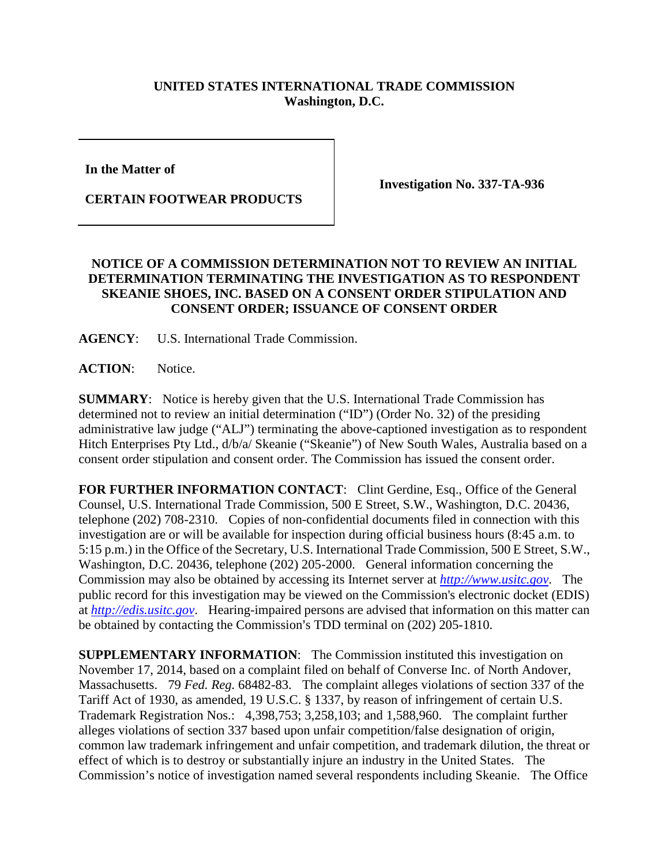## **UNITED STATES INTERNATIONAL TRADE COMMISSION Washington, D.C.**

**In the Matter of** 

**CERTAIN FOOTWEAR PRODUCTS**

**Investigation No. 337-TA-936**

## **NOTICE OF A COMMISSION DETERMINATION NOT TO REVIEW AN INITIAL DETERMINATION TERMINATING THE INVESTIGATION AS TO RESPONDENT SKEANIE SHOES, INC. BASED ON A CONSENT ORDER STIPULATION AND CONSENT ORDER; ISSUANCE OF CONSENT ORDER**

**AGENCY**: U.S. International Trade Commission.

**ACTION**: Notice.

**SUMMARY**: Notice is hereby given that the U.S. International Trade Commission has determined not to review an initial determination ("ID") (Order No. 32) of the presiding administrative law judge ("ALJ") terminating the above-captioned investigation as to respondent Hitch Enterprises Pty Ltd., d/b/a/ Skeanie ("Skeanie") of New South Wales, Australia based on a consent order stipulation and consent order. The Commission has issued the consent order.

FOR FURTHER INFORMATION CONTACT: Clint Gerdine, Esq., Office of the General Counsel, U.S. International Trade Commission, 500 E Street, S.W., Washington, D.C. 20436, telephone (202) 708-2310. Copies of non-confidential documents filed in connection with this investigation are or will be available for inspection during official business hours (8:45 a.m. to 5:15 p.m.) in the Office of the Secretary, U.S. International Trade Commission, 500 E Street, S.W., Washington, D.C. 20436, telephone (202) 205-2000. General information concerning the Commission may also be obtained by accessing its Internet server at *[http://www.usitc.gov](http://www.usitc.gov/)*. The public record for this investigation may be viewed on the Commission's electronic docket (EDIS) at *[http://edis.usitc.gov](http://edis.usitc.gov/)*. Hearing-impaired persons are advised that information on this matter can be obtained by contacting the Commission's TDD terminal on (202) 205-1810.

**SUPPLEMENTARY INFORMATION**: The Commission instituted this investigation on November 17, 2014, based on a complaint filed on behalf of Converse Inc. of North Andover, Massachusetts. 79 *Fed. Reg.* 68482-83. The complaint alleges violations of section 337 of the Tariff Act of 1930, as amended, 19 U.S.C. § 1337, by reason of infringement of certain U.S. Trademark Registration Nos.: 4,398,753; 3,258,103; and 1,588,960. The complaint further alleges violations of section 337 based upon unfair competition/false designation of origin, common law trademark infringement and unfair competition, and trademark dilution, the threat or effect of which is to destroy or substantially injure an industry in the United States. The Commission's notice of investigation named several respondents including Skeanie. The Office